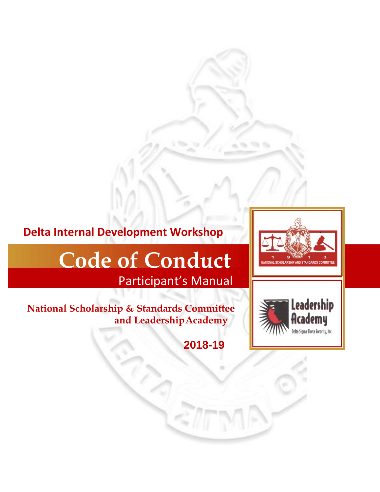# **Delta Internal Development Workshop**

# **Code of Conduct**

Participant's Manual

**National Scholarship & Standards Committee and Leadership Academy**

**2018-19**



**AL SCHOLARSHIP AND STANDARDS C**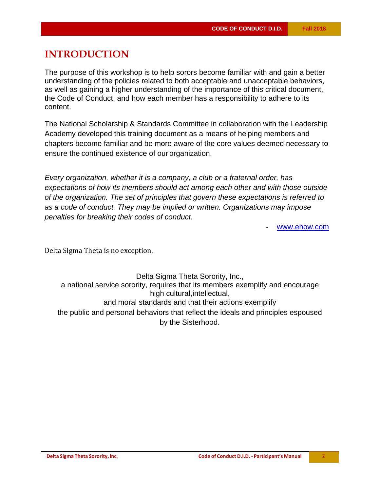## **INTRODUCTION**

The purpose of this workshop is to help sorors become familiar with and gain a better understanding of the policies related to both acceptable and unacceptable behaviors, as well as gaining a higher understanding of the importance of this critical document, the Code of Conduct, and how each member has a responsibility to adhere to its content.

The National Scholarship & Standards Committee in collaboration with the Leadership Academy developed this training document as a means of helping members and chapters become familiar and be more aware of the core values deemed necessary to ensure the continued existence of our organization.

*Every organization, whether it is a company, a club or a fraternal order, has expectations of how its members should act among each other and with those outside of the organization. The set of principles that govern these expectations is referred to as a code of conduct. They may be implied or written. Organizations may impose penalties for breaking their codes of conduct.* 

www.ehow.com

Delta Sigma Theta is no exception.

Delta Sigma Theta Sorority, Inc., a national service sorority, requires that its members exemplify and encourage high cultural, intellectual, and moral standards and that their actions exemplify the public and personal behaviors that reflect the ideals and principles espoused by the Sisterhood.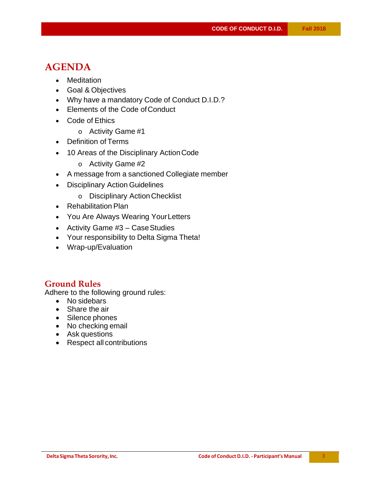## **AGENDA**

- Meditation
- Goal & Objectives
- Why have a mandatory Code of Conduct D.I.D.?
- Elements of the Code of Conduct
- Code of Ethics
	- o Activity Game #1
- Definition of Terms
- 10 Areas of the Disciplinary Action Code
	- o Activity Game #2
- A message from a sanctioned Collegiate member
- Disciplinary Action Guidelines
	- o Disciplinary Action Checklist
- Rehabilitation Plan
- You Are Always Wearing Your Letters
- Activity Game  $#3 Case$  Studies
- Your responsibility to Delta Sigma Theta!
- Wrap-up/Evaluation

#### **Ground Rules**

Adhere to the following ground rules:

- No sidebars
- Share the air
- Silence phones
- No checking email
- Ask questions
- Respect all contributions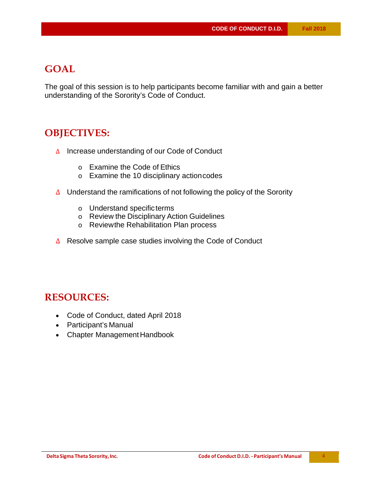## **GOAL**

The goal of this session is to help participants become familiar with and gain a better understanding of the Sorority's Code of Conduct.

## **OBJECTIVES:**

- Δ Increase understanding of our Code of Conduct
	- o Examine the Code of Ethics
	- o Examine the 10 disciplinary action codes
- Δ Understand the ramifications of not following the policy of the Sorority
	- o Understand specific terms
	- o Review the Disciplinary Action Guidelines
	- o Review the Rehabilitation Plan process
- Δ Resolve sample case studies involving the Code of Conduct

## **RESOURCES:**

- Code of Conduct, dated April 2018
- Participant's Manual
- Chapter Management Handbook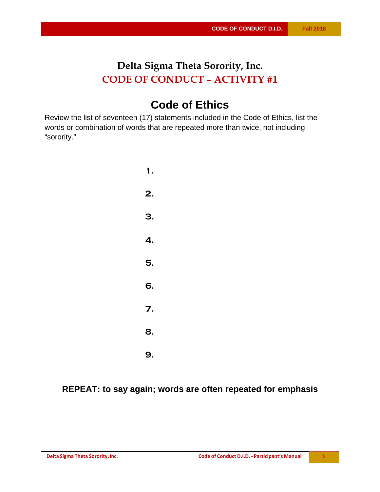## **Delta Sigma Theta Sorority, Inc. CODE OF CONDUCT** *–* **ACTIVITY #1**

# **Code of Ethics**

Review the list of seventeen (17) statements included in the Code of Ethics, list the words or combination of words that are repeated more than twice, not including "sorority."

> **1. 2. 3. 4. 5. 6. 7. 8. 9.**

**REPEAT: to say again; words are often repeated for emphasis**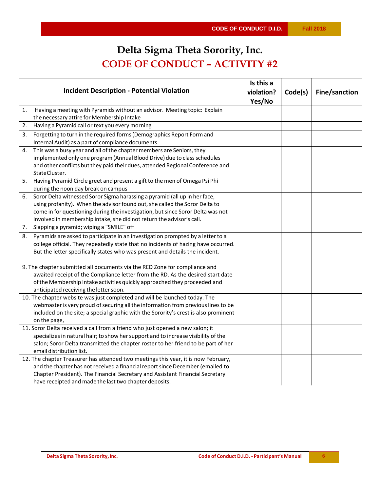# **Delta Sigma Theta Sorority, Inc. CODE OF CONDUCT** *–* **ACTIVITY #2**

| <b>Incident Description - Potential Violation</b>                                                                                                                                                                                                                                                                           | Is this a<br>violation? | Code(s) | Fine/sanction |
|-----------------------------------------------------------------------------------------------------------------------------------------------------------------------------------------------------------------------------------------------------------------------------------------------------------------------------|-------------------------|---------|---------------|
|                                                                                                                                                                                                                                                                                                                             | Yes/No                  |         |               |
| Having a meeting with Pyramids without an advisor. Meeting topic: Explain<br>1.<br>the necessary attire for Membership Intake                                                                                                                                                                                               |                         |         |               |
| 2.<br>Having a Pyramid call or text you every morning                                                                                                                                                                                                                                                                       |                         |         |               |
| Forgetting to turn in the required forms (Demographics Report Form and<br>3.<br>Internal Audit) as a part of compliance documents                                                                                                                                                                                           |                         |         |               |
| This was a busy year and all of the chapter members are Seniors, they<br>4.<br>implemented only one program (Annual Blood Drive) due to class schedules<br>and other conflicts but they paid their dues, attended Regional Conference and<br>StateCluster.                                                                  |                         |         |               |
| Having Pyramid Circle greet and present a gift to the men of Omega Psi Phi<br>5.<br>during the noon day break on campus                                                                                                                                                                                                     |                         |         |               |
| Soror Delta witnessed Soror Sigma harassing a pyramid (all up in her face,<br>6.<br>using profanity). When the advisor found out, she called the Soror Delta to<br>come in for questioning during the investigation, but since Soror Delta was not<br>involved in membership intake, she did not return the advisor's call. |                         |         |               |
| Slapping a pyramid; wiping a "SMILE" off<br>7.                                                                                                                                                                                                                                                                              |                         |         |               |
| Pyramids are asked to participate in an investigation prompted by a letter to a<br>8.<br>college official. They repeatedly state that no incidents of hazing have occurred.<br>But the letter specifically states who was present and details the incident.                                                                 |                         |         |               |
| 9. The chapter submitted all documents via the RED Zone for compliance and<br>awaited receipt of the Compliance letter from the RD. As the desired start date<br>of the Membership Intake activities quickly approached they proceeded and<br>anticipated receiving the letter soon.                                        |                         |         |               |
| 10. The chapter website was just completed and will be launched today. The<br>webmaster is very proud of securing all the information from previous lines to be<br>included on the site; a special graphic with the Sorority's crest is also prominent<br>on the page,                                                      |                         |         |               |
| 11. Soror Delta received a call from a friend who just opened a new salon; it<br>specializes in natural hair; to show her support and to increase visibility of the<br>salon; Soror Delta transmitted the chapter roster to her friend to be part of her<br>email distribution list.                                        |                         |         |               |
| 12. The chapter Treasurer has attended two meetings this year, it is now February,<br>and the chapter has not received a financial report since December (emailed to<br>Chapter President). The Financial Secretary and Assistant Financial Secretary<br>have receipted and made the last two chapter deposits.             |                         |         |               |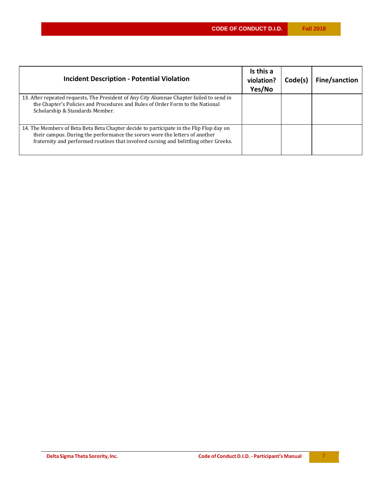| <b>Incident Description - Potential Violation</b>                                                                                                                                                                                                              | Is this a<br>violation?<br>Yes/No | Code(s) | Fine/sanction |
|----------------------------------------------------------------------------------------------------------------------------------------------------------------------------------------------------------------------------------------------------------------|-----------------------------------|---------|---------------|
| 13. After repeated requests, The President of Any City Alumnae Chapter failed to send in<br>the Chapter's Policies and Procedures and Rules of Order Form to the National<br>Scholarship & Standards Member.                                                   |                                   |         |               |
| 14. The Members of Beta Beta Beta Chapter decide to participate in the Flip Flop day on<br>their campus. During the performance the sorors wore the letters of another<br>fraternity and performed routines that involved cursing and belittling other Greeks. |                                   |         |               |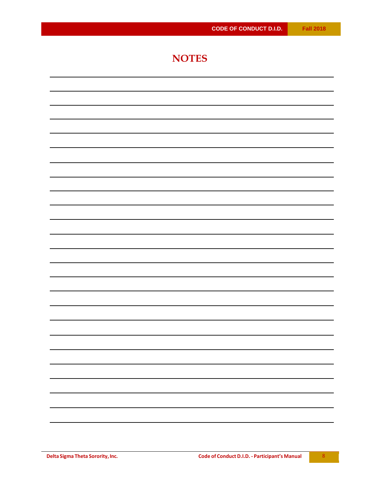## **NOTES**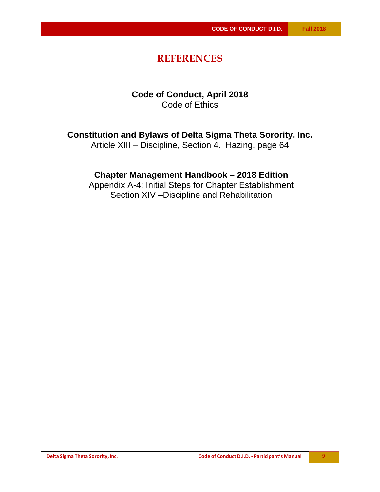## **REFERENCES**

#### **Code of Conduct, April 2018**  Code of Ethics

#### **Constitution and Bylaws of Delta Sigma Theta Sorority, Inc.**

Article XIII – Discipline, Section 4. Hazing, page 64

#### **Chapter Management Handbook – 2018 Edition**

Appendix A-4: Initial Steps for Chapter Establishment Section XIV –Discipline and Rehabilitation